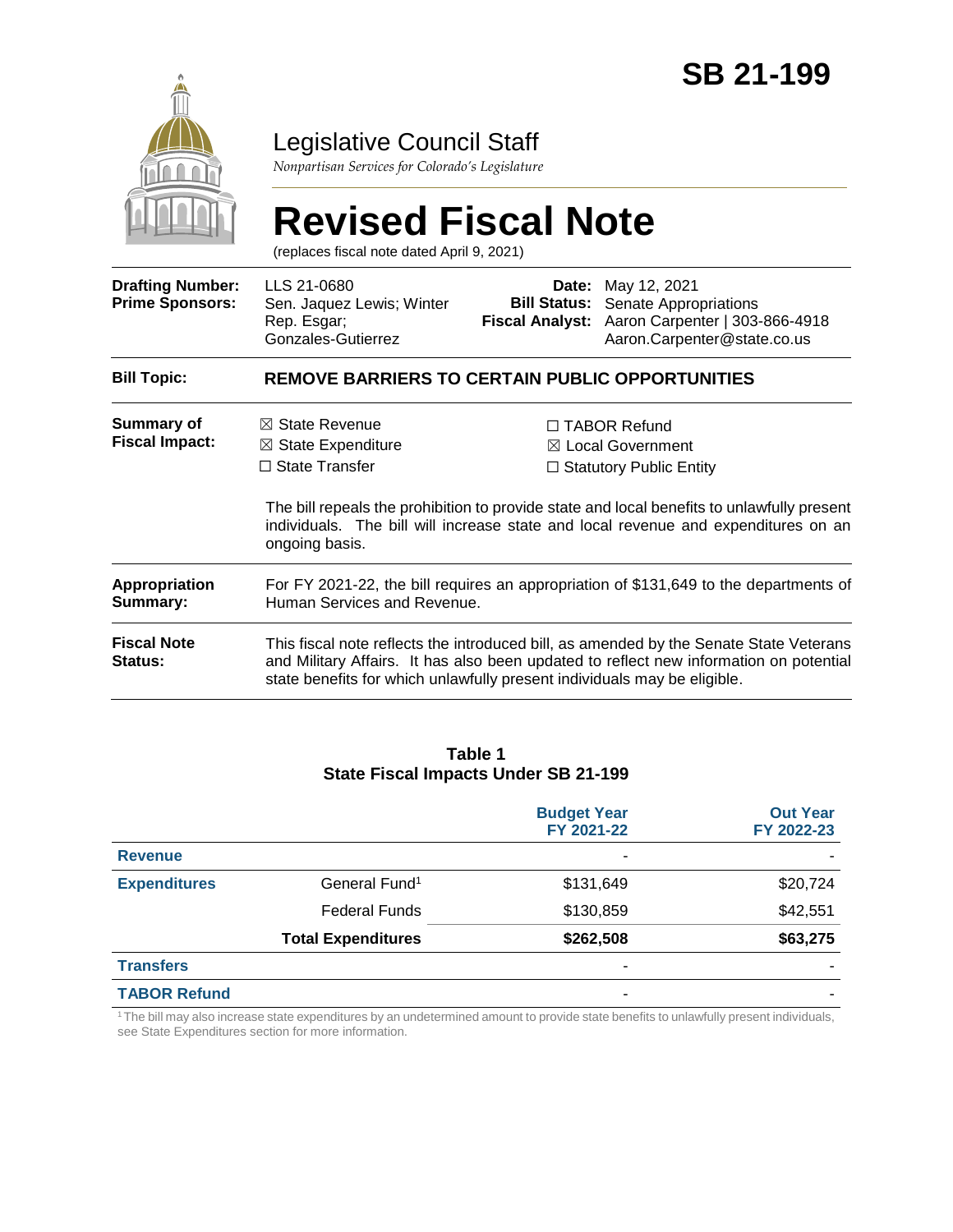

# Legislative Council Staff

*Nonpartisan Services for Colorado's Legislature*

|                                                   | <b>Revised Fiscal Note</b><br>(replaces fiscal note dated April 9, 2021)                                                                                                                                                                                     |                                               |                                                                                                                                                                                                                                                                           |  |  |
|---------------------------------------------------|--------------------------------------------------------------------------------------------------------------------------------------------------------------------------------------------------------------------------------------------------------------|-----------------------------------------------|---------------------------------------------------------------------------------------------------------------------------------------------------------------------------------------------------------------------------------------------------------------------------|--|--|
| <b>Drafting Number:</b><br><b>Prime Sponsors:</b> | LLS 21-0680<br>Sen. Jaquez Lewis; Winter<br>Rep. Esgar;<br>Gonzales-Gutierrez                                                                                                                                                                                | <b>Bill Status:</b><br><b>Fiscal Analyst:</b> | <b>Date:</b> May 12, 2021<br>Senate Appropriations<br>Aaron Carpenter   303-866-4918<br>Aaron.Carpenter@state.co.us                                                                                                                                                       |  |  |
| <b>Bill Topic:</b>                                | REMOVE BARRIERS TO CERTAIN PUBLIC OPPORTUNITIES                                                                                                                                                                                                              |                                               |                                                                                                                                                                                                                                                                           |  |  |
| Summary of<br><b>Fiscal Impact:</b>               | $\boxtimes$ State Revenue<br>$\boxtimes$ State Expenditure<br>$\Box$ State Transfer<br>ongoing basis.                                                                                                                                                        |                                               | $\Box$ TABOR Refund<br>$\boxtimes$ Local Government<br>$\Box$ Statutory Public Entity<br>The bill repeals the prohibition to provide state and local benefits to unlawfully present<br>individuals. The bill will increase state and local revenue and expenditures on an |  |  |
| <b>Appropriation</b><br>Summary:                  | For FY 2021-22, the bill requires an appropriation of \$131,649 to the departments of<br>Human Services and Revenue.                                                                                                                                         |                                               |                                                                                                                                                                                                                                                                           |  |  |
| <b>Fiscal Note</b><br><b>Status:</b>              | This fiscal note reflects the introduced bill, as amended by the Senate State Veterans<br>and Military Affairs. It has also been updated to reflect new information on potential<br>state benefits for which unlawfully present individuals may be eligible. |                                               |                                                                                                                                                                                                                                                                           |  |  |

### **Table 1 State Fiscal Impacts Under SB 21-199**

|                     |                           | <b>Budget Year</b><br>FY 2021-22 | <b>Out Year</b><br>FY 2022-23 |
|---------------------|---------------------------|----------------------------------|-------------------------------|
| <b>Revenue</b>      |                           | -                                |                               |
| <b>Expenditures</b> | General Fund <sup>1</sup> | \$131,649                        | \$20,724                      |
|                     | <b>Federal Funds</b>      | \$130,859                        | \$42,551                      |
|                     | <b>Total Expenditures</b> | \$262,508                        | \$63,275                      |
| <b>Transfers</b>    |                           | ٠                                |                               |
| <b>TABOR Refund</b> |                           | ۰                                |                               |

<sup>1</sup>The bill may also increase state expenditures by an undetermined amount to provide state benefits to unlawfully present individuals, see State Expenditures section for more information.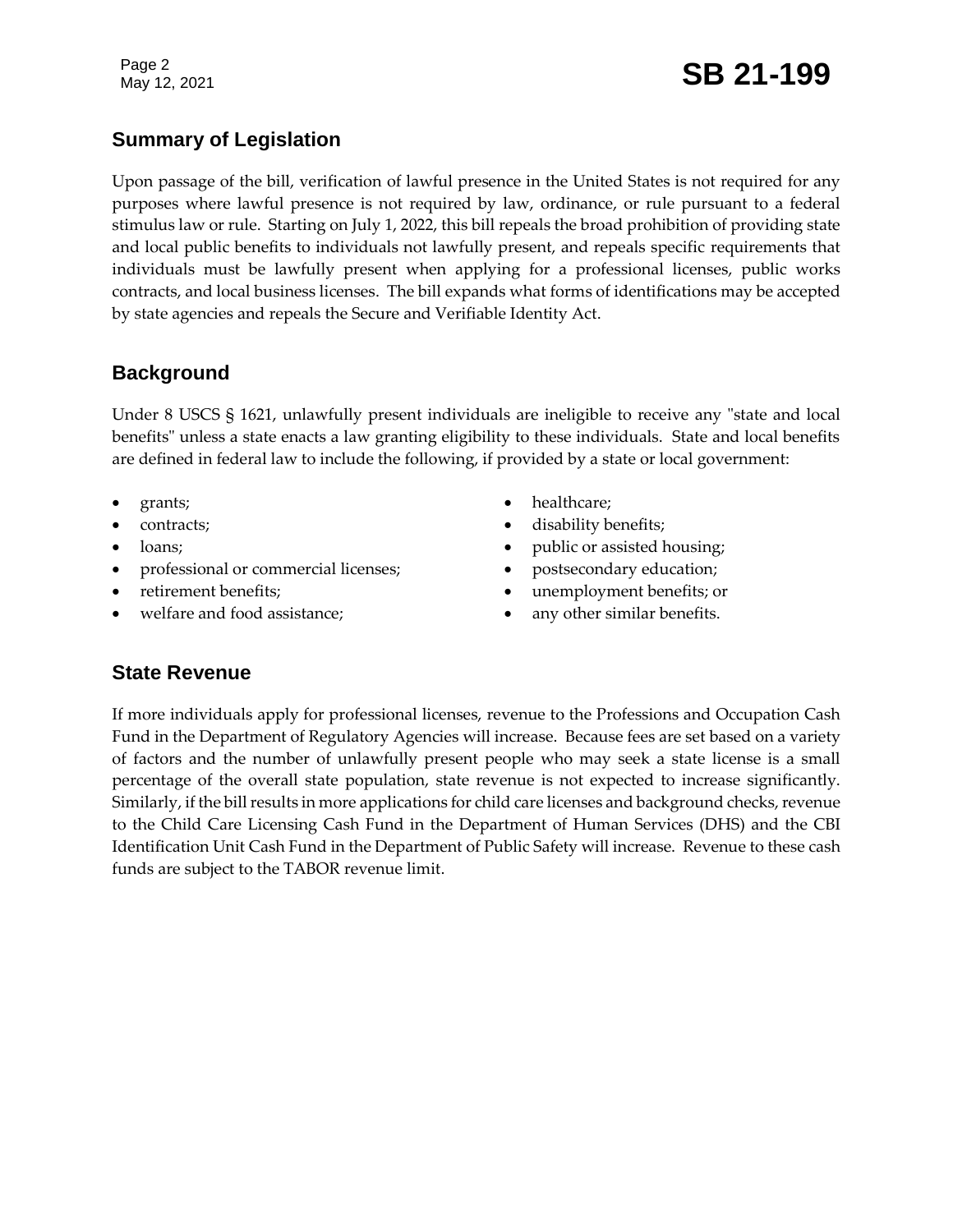## **Summary of Legislation**

Upon passage of the bill, verification of lawful presence in the United States is not required for any purposes where lawful presence is not required by law, ordinance, or rule pursuant to a federal stimulus law or rule. Starting on July 1, 2022, this bill repeals the broad prohibition of providing state and local public benefits to individuals not lawfully present, and repeals specific requirements that individuals must be lawfully present when applying for a professional licenses, public works contracts, and local business licenses. The bill expands what forms of identifications may be accepted by state agencies and repeals the Secure and Verifiable Identity Act.

## **Background**

Under 8 USCS § 1621, unlawfully present individuals are ineligible to receive any "state and local benefits" unless a state enacts a law granting eligibility to these individuals. State and local benefits are defined in federal law to include the following, if provided by a state or local government:

- grants;
- contracts;
- loans;
- professional or commercial licenses;
- retirement benefits;
- welfare and food assistance;
- healthcare;
- disability benefits;
- public or assisted housing;
- postsecondary education;
- unemployment benefits; or
- any other similar benefits.

### **State Revenue**

If more individuals apply for professional licenses, revenue to the Professions and Occupation Cash Fund in the Department of Regulatory Agencies will increase. Because fees are set based on a variety of factors and the number of unlawfully present people who may seek a state license is a small percentage of the overall state population, state revenue is not expected to increase significantly. Similarly, if the bill results in more applications for child care licenses and background checks, revenue to the Child Care Licensing Cash Fund in the Department of Human Services (DHS) and the CBI Identification Unit Cash Fund in the Department of Public Safety will increase. Revenue to these cash funds are subject to the TABOR revenue limit.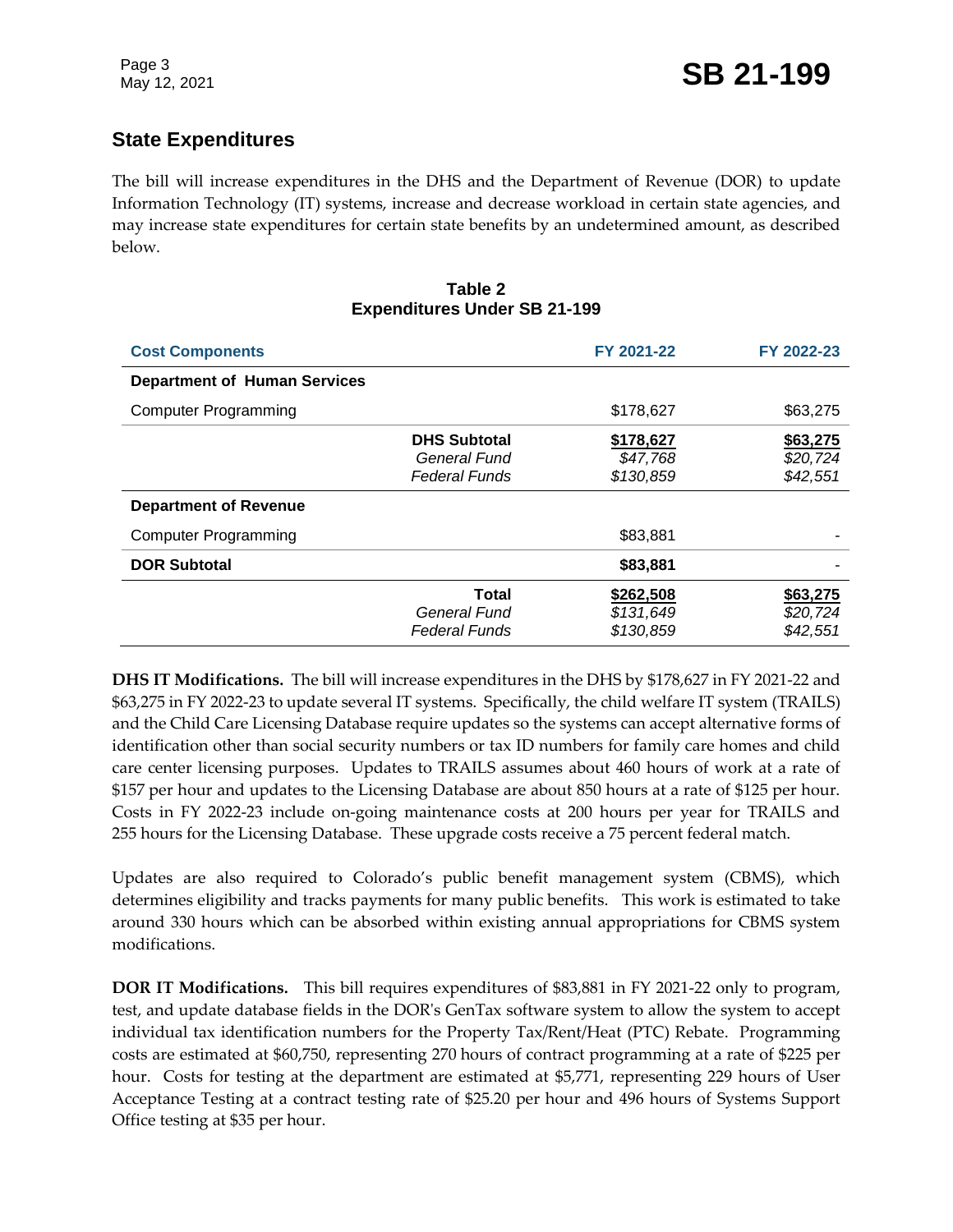## **State Expenditures**

The bill will increase expenditures in the DHS and the Department of Revenue (DOR) to update Information Technology (IT) systems, increase and decrease workload in certain state agencies, and may increase state expenditures for certain state benefits by an undetermined amount, as described below.

#### **Table 2 Expenditures Under SB 21-199**

| <b>Cost Components</b>              |                                                             | FY 2021-22                          | FY 2022-23                       |
|-------------------------------------|-------------------------------------------------------------|-------------------------------------|----------------------------------|
| <b>Department of Human Services</b> |                                                             |                                     |                                  |
| <b>Computer Programming</b>         |                                                             | \$178,627                           | \$63,275                         |
|                                     | <b>DHS Subtotal</b><br>General Fund<br><b>Federal Funds</b> | \$178,627<br>\$47,768<br>\$130,859  | \$63,275<br>\$20,724<br>\$42,551 |
| <b>Department of Revenue</b>        |                                                             |                                     |                                  |
| <b>Computer Programming</b>         |                                                             | \$83,881                            |                                  |
| <b>DOR Subtotal</b>                 |                                                             | \$83,881                            |                                  |
|                                     | Total<br>General Fund<br><b>Federal Funds</b>               | \$262,508<br>\$131,649<br>\$130,859 | \$63,275<br>\$20,724<br>\$42,551 |

**DHS IT Modifications.** The bill will increase expenditures in the DHS by \$178,627 in FY 2021-22 and \$63,275 in FY 2022-23 to update several IT systems. Specifically, the child welfare IT system (TRAILS) and the Child Care Licensing Database require updates so the systems can accept alternative forms of identification other than social security numbers or tax ID numbers for family care homes and child care center licensing purposes. Updates to TRAILS assumes about 460 hours of work at a rate of \$157 per hour and updates to the Licensing Database are about 850 hours at a rate of \$125 per hour. Costs in FY 2022-23 include on-going maintenance costs at 200 hours per year for TRAILS and 255 hours for the Licensing Database. These upgrade costs receive a 75 percent federal match.

Updates are also required to Colorado's public benefit management system (CBMS), which determines eligibility and tracks payments for many public benefits. This work is estimated to take around 330 hours which can be absorbed within existing annual appropriations for CBMS system modifications.

**DOR IT Modifications.** This bill requires expenditures of \$83,881 in FY 2021-22 only to program, test, and update database fields in the DOR's GenTax software system to allow the system to accept individual tax identification numbers for the Property Tax/Rent/Heat (PTC) Rebate. Programming costs are estimated at \$60,750, representing 270 hours of contract programming at a rate of \$225 per hour. Costs for testing at the department are estimated at \$5,771, representing 229 hours of User Acceptance Testing at a contract testing rate of \$25.20 per hour and 496 hours of Systems Support Office testing at \$35 per hour.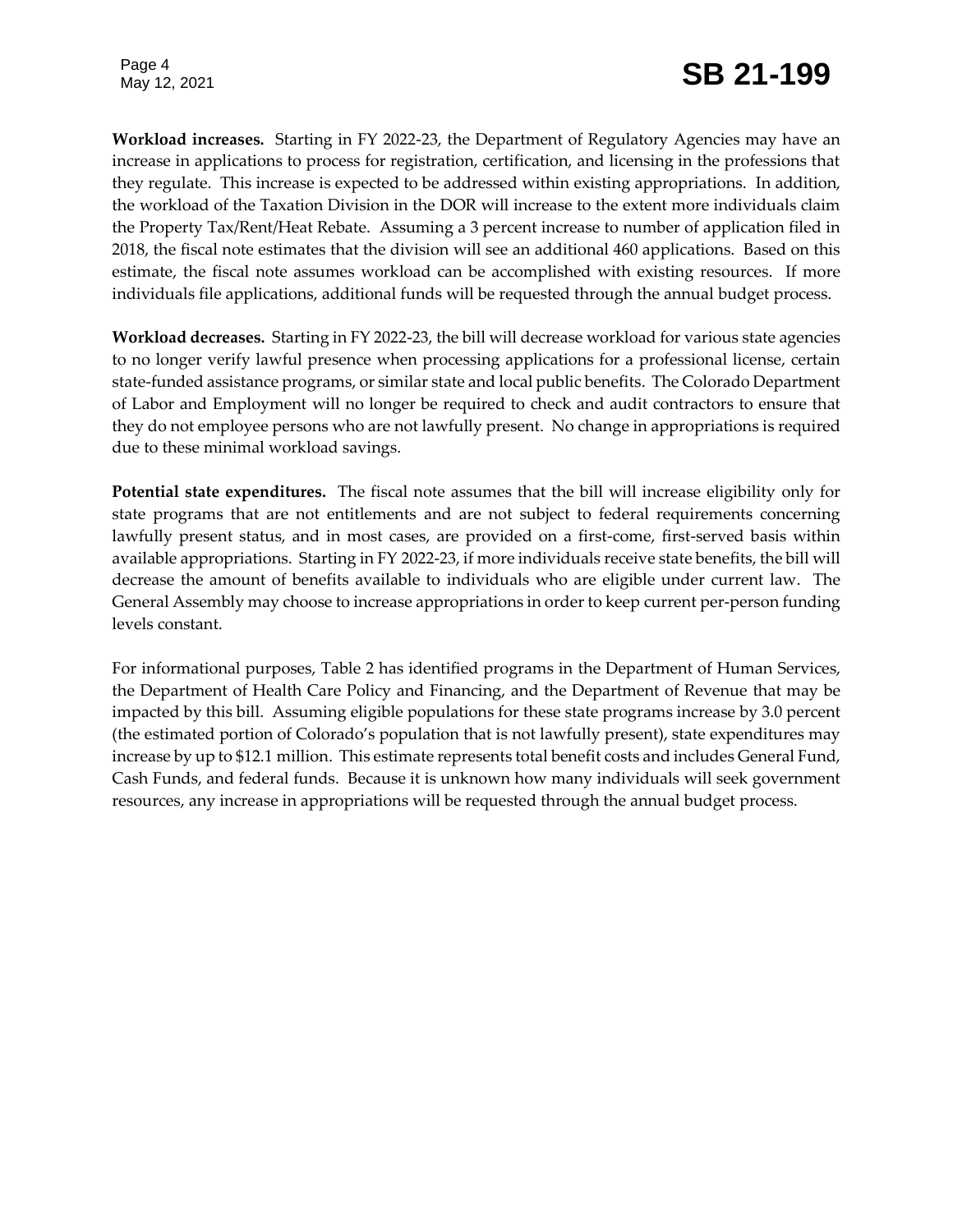Page 4

**Workload increases.** Starting in FY 2022-23, the Department of Regulatory Agencies may have an increase in applications to process for registration, certification, and licensing in the professions that they regulate. This increase is expected to be addressed within existing appropriations. In addition, the workload of the Taxation Division in the DOR will increase to the extent more individuals claim the Property Tax/Rent/Heat Rebate. Assuming a 3 percent increase to number of application filed in 2018, the fiscal note estimates that the division will see an additional 460 applications. Based on this estimate, the fiscal note assumes workload can be accomplished with existing resources. If more individuals file applications, additional funds will be requested through the annual budget process.

**Workload decreases.** Starting in FY 2022-23, the bill will decrease workload for various state agencies to no longer verify lawful presence when processing applications for a professional license, certain state-funded assistance programs, or similar state and local public benefits. The Colorado Department of Labor and Employment will no longer be required to check and audit contractors to ensure that they do not employee persons who are not lawfully present. No change in appropriations is required due to these minimal workload savings.

**Potential state expenditures.** The fiscal note assumes that the bill will increase eligibility only for state programs that are not entitlements and are not subject to federal requirements concerning lawfully present status, and in most cases, are provided on a first-come, first-served basis within available appropriations. Starting in FY 2022-23, if more individuals receive state benefits, the bill will decrease the amount of benefits available to individuals who are eligible under current law. The General Assembly may choose to increase appropriations in order to keep current per-person funding levels constant.

For informational purposes, Table 2 has identified programs in the Department of Human Services, the Department of Health Care Policy and Financing, and the Department of Revenue that may be impacted by this bill. Assuming eligible populations for these state programs increase by 3.0 percent (the estimated portion of Colorado's population that is not lawfully present), state expenditures may increase by up to \$12.1 million. This estimate represents total benefit costs and includes General Fund, Cash Funds, and federal funds. Because it is unknown how many individuals will seek government resources, any increase in appropriations will be requested through the annual budget process.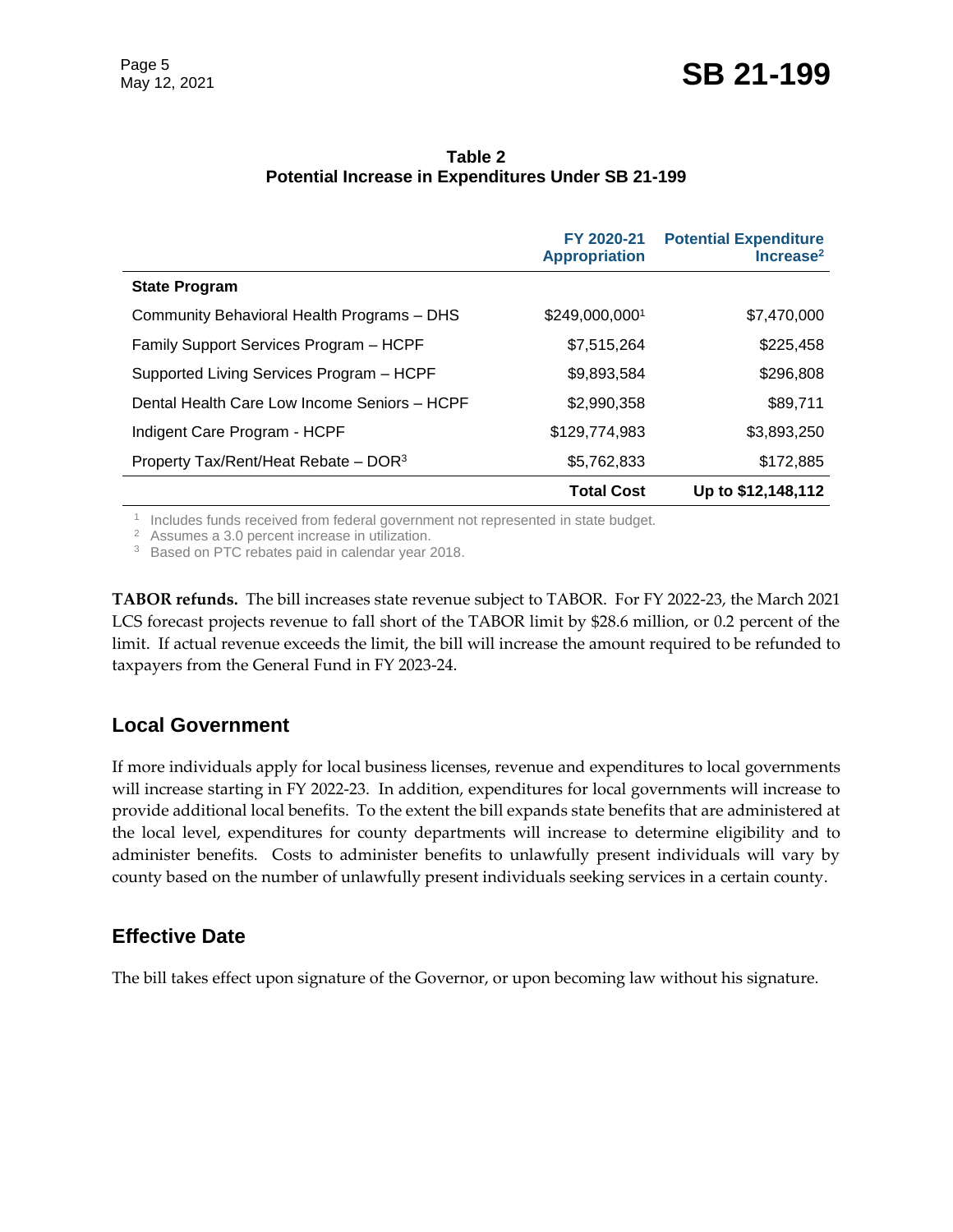|                                                  | FY 2020-21<br><b>Appropriation</b> | <b>Potential Expenditure</b><br>Increase <sup>2</sup> |
|--------------------------------------------------|------------------------------------|-------------------------------------------------------|
| <b>State Program</b>                             |                                    |                                                       |
| Community Behavioral Health Programs - DHS       | \$249,000,0001                     | \$7,470,000                                           |
| Family Support Services Program - HCPF           | \$7,515,264                        | \$225,458                                             |
| Supported Living Services Program - HCPF         | \$9,893,584                        | \$296,808                                             |
| Dental Health Care Low Income Seniors - HCPF     | \$2,990,358                        | \$89,711                                              |
| Indigent Care Program - HCPF                     | \$129,774,983                      | \$3,893,250                                           |
| Property Tax/Rent/Heat Rebate - DOR <sup>3</sup> | \$5,762,833                        | \$172,885                                             |
|                                                  | <b>Total Cost</b>                  | Up to \$12,148,112                                    |

#### **Table 2 Potential Increase in Expenditures Under SB 21-199**

<sup>1</sup> Includes funds received from federal government not represented in state budget.

<sup>2</sup> Assumes a 3.0 percent increase in utilization.

<sup>3</sup> Based on PTC rebates paid in calendar year 2018.

**TABOR refunds.** The bill increases state revenue subject to TABOR. For FY 2022-23, the March 2021 LCS forecast projects revenue to fall short of the TABOR limit by \$28.6 million, or 0.2 percent of the limit. If actual revenue exceeds the limit, the bill will increase the amount required to be refunded to taxpayers from the General Fund in FY 2023-24.

## **Local Government**

If more individuals apply for local business licenses, revenue and expenditures to local governments will increase starting in FY 2022-23. In addition, expenditures for local governments will increase to provide additional local benefits. To the extent the bill expands state benefits that are administered at the local level, expenditures for county departments will increase to determine eligibility and to administer benefits. Costs to administer benefits to unlawfully present individuals will vary by county based on the number of unlawfully present individuals seeking services in a certain county.

## **Effective Date**

The bill takes effect upon signature of the Governor, or upon becoming law without his signature.